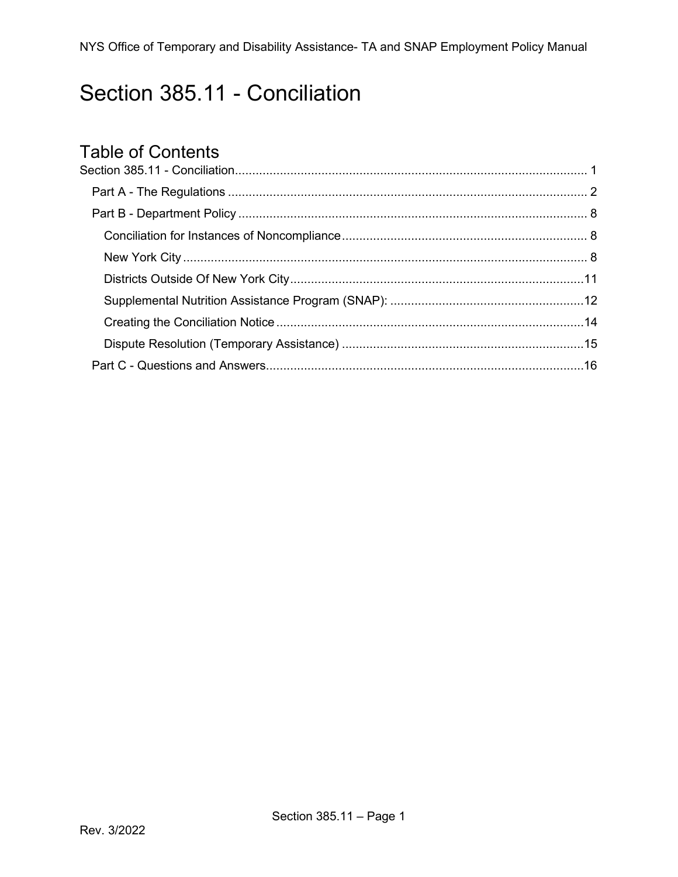# <span id="page-0-0"></span>Section 385.11 - Conciliation

# Table of Contents<br>Section 385.11 - Conciliation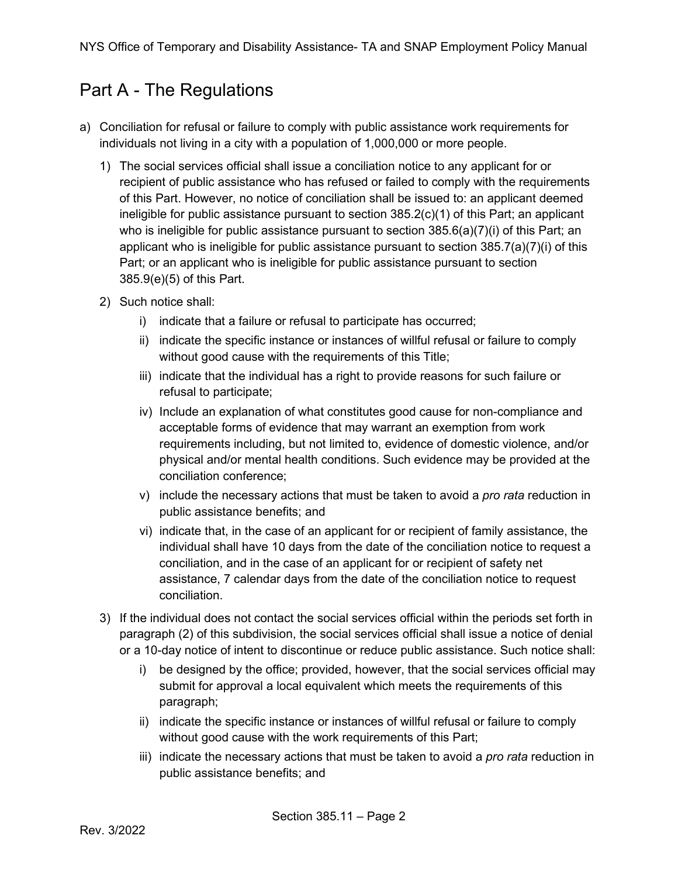## <span id="page-1-0"></span>Part A - The Regulations

- a) Conciliation for refusal or failure to comply with public assistance work requirements for individuals not living in a city with a population of 1,000,000 or more people.
	- 1) The social services official shall issue a conciliation notice to any applicant for or recipient of public assistance who has refused or failed to comply with the requirements of this Part. However, no notice of conciliation shall be issued to: an applicant deemed ineligible for public assistance pursuant to section 385.2(c)(1) of this Part; an applicant who is ineligible for public assistance pursuant to section  $385.6(a)(7)(i)$  of this Part; an applicant who is ineligible for public assistance pursuant to section 385.7(a)(7)(i) of this Part; or an applicant who is ineligible for public assistance pursuant to section 385.9(e)(5) of this Part.
	- 2) Such notice shall:
		- i) indicate that a failure or refusal to participate has occurred;
		- ii) indicate the specific instance or instances of willful refusal or failure to comply without good cause with the requirements of this Title;
		- iii) indicate that the individual has a right to provide reasons for such failure or refusal to participate;
		- iv) Include an explanation of what constitutes good cause for non-compliance and acceptable forms of evidence that may warrant an exemption from work requirements including, but not limited to, evidence of domestic violence, and/or physical and/or mental health conditions. Such evidence may be provided at the conciliation conference;
		- v) include the necessary actions that must be taken to avoid a *pro rata* reduction in public assistance benefits; and
		- vi) indicate that, in the case of an applicant for or recipient of family assistance, the individual shall have 10 days from the date of the conciliation notice to request a conciliation, and in the case of an applicant for or recipient of safety net assistance, 7 calendar days from the date of the conciliation notice to request conciliation.
	- 3) If the individual does not contact the social services official within the periods set forth in paragraph (2) of this subdivision, the social services official shall issue a notice of denial or a 10-day notice of intent to discontinue or reduce public assistance. Such notice shall:
		- i) be designed by the office; provided, however, that the social services official may submit for approval a local equivalent which meets the requirements of this paragraph;
		- ii) indicate the specific instance or instances of willful refusal or failure to comply without good cause with the work requirements of this Part;
		- iii) indicate the necessary actions that must be taken to avoid a *pro rata* reduction in public assistance benefits; and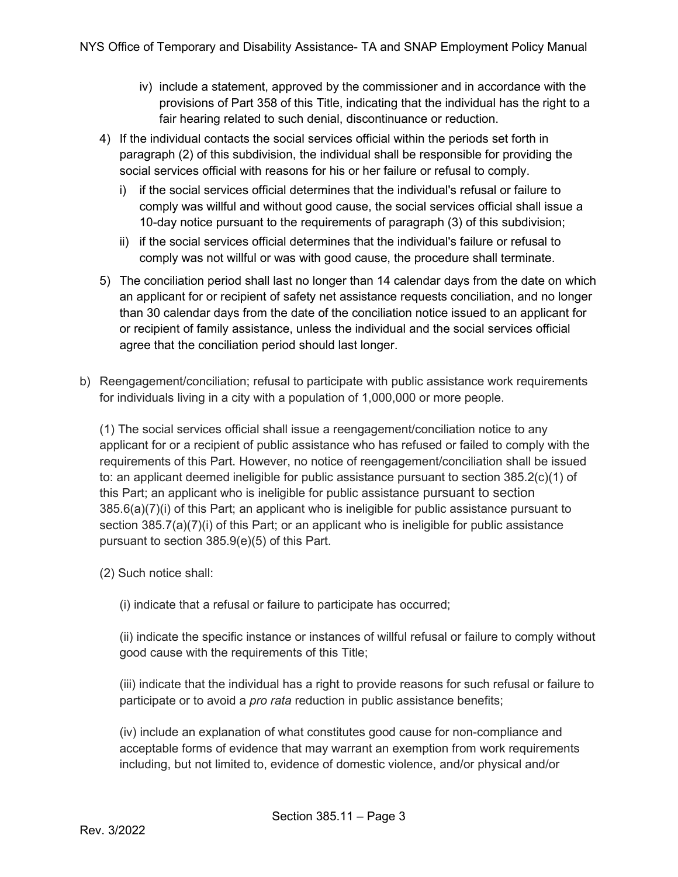- iv) include a statement, approved by the commissioner and in accordance with the provisions of Part 358 of this Title, indicating that the individual has the right to a fair hearing related to such denial, discontinuance or reduction.
- 4) If the individual contacts the social services official within the periods set forth in paragraph (2) of this subdivision, the individual shall be responsible for providing the social services official with reasons for his or her failure or refusal to comply.
	- i) if the social services official determines that the individual's refusal or failure to comply was willful and without good cause, the social services official shall issue a 10-day notice pursuant to the requirements of paragraph (3) of this subdivision;
	- ii) if the social services official determines that the individual's failure or refusal to comply was not willful or was with good cause, the procedure shall terminate.
- 5) The conciliation period shall last no longer than 14 calendar days from the date on which an applicant for or recipient of safety net assistance requests conciliation, and no longer than 30 calendar days from the date of the conciliation notice issued to an applicant for or recipient of family assistance, unless the individual and the social services official agree that the conciliation period should last longer.
- b) Reengagement/conciliation; refusal to participate with public assistance work requirements for individuals living in a city with a population of 1,000,000 or more people.

(1) The social services official shall issue a reengagement/conciliation notice to any applicant for or a recipient of public assistance who has refused or failed to comply with the requirements of this Part. However, no notice of reengagement/conciliation shall be issued to: an applicant deemed ineligible for public assistance pursuant to section 385.2(c)(1) of this Part; an applicant who is ineligible for public assistance pursuant to section 385.6(a)(7)(i) of this Part; an applicant who is ineligible for public assistance pursuant to section 385.7(a)(7)(i) of this Part; or an applicant who is ineligible for public assistance pursuant to section 385.9(e)(5) of this Part.

- (2) Such notice shall:
	- (i) indicate that a refusal or failure to participate has occurred;

(ii) indicate the specific instance or instances of willful refusal or failure to comply without good cause with the requirements of this Title;

(iii) indicate that the individual has a right to provide reasons for such refusal or failure to participate or to avoid a *pro rata* reduction in public assistance benefits;

(iv) include an explanation of what constitutes good cause for non-compliance and acceptable forms of evidence that may warrant an exemption from work requirements including, but not limited to, evidence of domestic violence, and/or physical and/or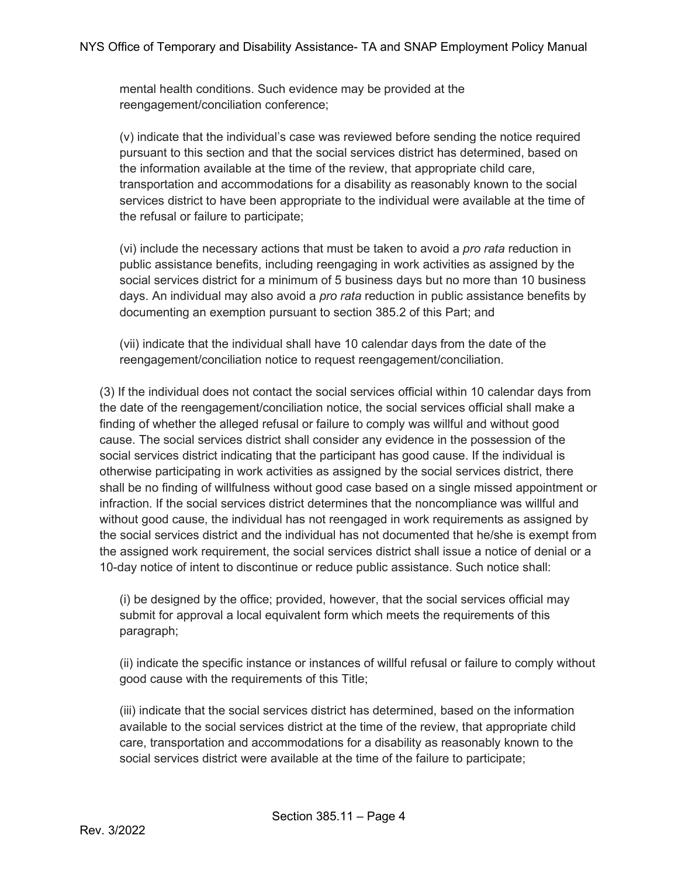mental health conditions. Such evidence may be provided at the reengagement/conciliation conference;

(v) indicate that the individual's case was reviewed before sending the notice required pursuant to this section and that the social services district has determined, based on the information available at the time of the review, that appropriate child care, transportation and accommodations for a disability as reasonably known to the social services district to have been appropriate to the individual were available at the time of the refusal or failure to participate;

(vi) include the necessary actions that must be taken to avoid a *pro rata* reduction in public assistance benefits, including reengaging in work activities as assigned by the social services district for a minimum of 5 business days but no more than 10 business days. An individual may also avoid a *pro rata* reduction in public assistance benefits by documenting an exemption pursuant to section 385.2 of this Part; and

(vii) indicate that the individual shall have 10 calendar days from the date of the reengagement/conciliation notice to request reengagement/conciliation.

(3) If the individual does not contact the social services official within 10 calendar days from the date of the reengagement/conciliation notice, the social services official shall make a finding of whether the alleged refusal or failure to comply was willful and without good cause. The social services district shall consider any evidence in the possession of the social services district indicating that the participant has good cause. If the individual is otherwise participating in work activities as assigned by the social services district, there shall be no finding of willfulness without good case based on a single missed appointment or infraction. If the social services district determines that the noncompliance was willful and without good cause, the individual has not reengaged in work requirements as assigned by the social services district and the individual has not documented that he/she is exempt from the assigned work requirement, the social services district shall issue a notice of denial or a 10-day notice of intent to discontinue or reduce public assistance. Such notice shall:

(i) be designed by the office; provided, however, that the social services official may submit for approval a local equivalent form which meets the requirements of this paragraph;

(ii) indicate the specific instance or instances of willful refusal or failure to comply without good cause with the requirements of this Title;

(iii) indicate that the social services district has determined, based on the information available to the social services district at the time of the review, that appropriate child care, transportation and accommodations for a disability as reasonably known to the social services district were available at the time of the failure to participate;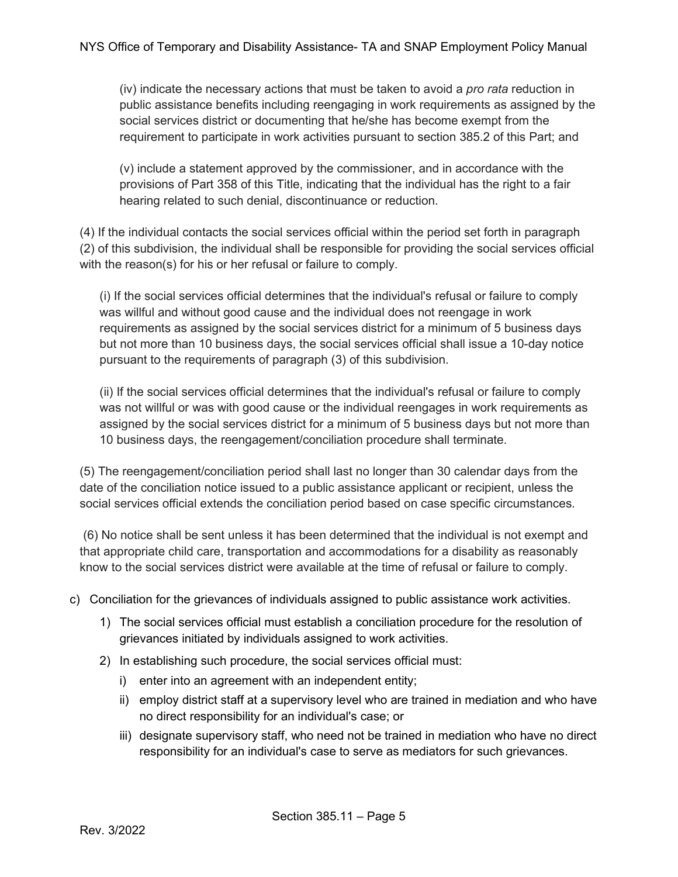(iv) indicate the necessary actions that must be taken to avoid a *pro rata* reduction in public assistance benefits including reengaging in work requirements as assigned by the social services district or documenting that he/she has become exempt from the requirement to participate in work activities pursuant to section 385.2 of this Part; and

(v) include a statement approved by the commissioner, and in accordance with the provisions of Part 358 of this Title, indicating that the individual has the right to a fair hearing related to such denial, discontinuance or reduction.

(4) If the individual contacts the social services official within the period set forth in paragraph (2) of this subdivision, the individual shall be responsible for providing the social services official with the reason(s) for his or her refusal or failure to comply.

(i) If the social services official determines that the individual's refusal or failure to comply was willful and without good cause and the individual does not reengage in work requirements as assigned by the social services district for a minimum of 5 business days but not more than 10 business days, the social services official shall issue a 10-day notice pursuant to the requirements of paragraph (3) of this subdivision.

(ii) If the social services official determines that the individual's refusal or failure to comply was not willful or was with good cause or the individual reengages in work requirements as assigned by the social services district for a minimum of 5 business days but not more than 10 business days, the reengagement/conciliation procedure shall terminate.

(5) The reengagement/conciliation period shall last no longer than 30 calendar days from the date of the conciliation notice issued to a public assistance applicant or recipient, unless the social services official extends the conciliation period based on case specific circumstances.

(6) No notice shall be sent unless it has been determined that the individual is not exempt and that appropriate child care, transportation and accommodations for a disability as reasonably know to the social services district were available at the time of refusal or failure to comply.

- c) Conciliation for the grievances of individuals assigned to public assistance work activities.
	- 1) The social services official must establish a conciliation procedure for the resolution of grievances initiated by individuals assigned to work activities.
	- 2) In establishing such procedure, the social services official must:
		- i) enter into an agreement with an independent entity;
		- ii) employ district staff at a supervisory level who are trained in mediation and who have no direct responsibility for an individual's case; or
		- iii) designate supervisory staff, who need not be trained in mediation who have no direct responsibility for an individual's case to serve as mediators for such grievances.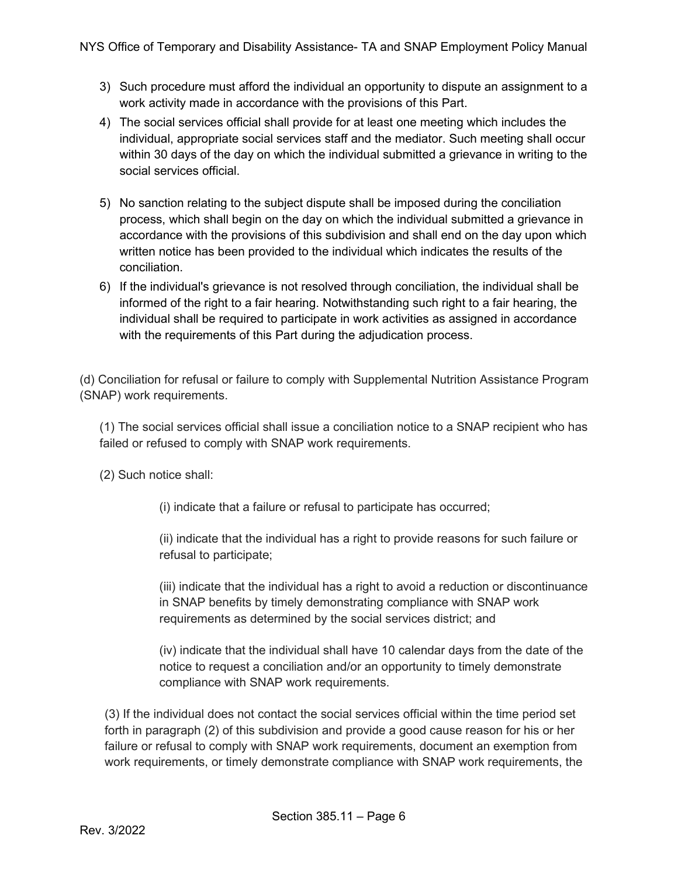- 3) Such procedure must afford the individual an opportunity to dispute an assignment to a work activity made in accordance with the provisions of this Part.
- 4) The social services official shall provide for at least one meeting which includes the individual, appropriate social services staff and the mediator. Such meeting shall occur within 30 days of the day on which the individual submitted a grievance in writing to the social services official.
- 5) No sanction relating to the subject dispute shall be imposed during the conciliation process, which shall begin on the day on which the individual submitted a grievance in accordance with the provisions of this subdivision and shall end on the day upon which written notice has been provided to the individual which indicates the results of the conciliation.
- 6) If the individual's grievance is not resolved through conciliation, the individual shall be informed of the right to a fair hearing. Notwithstanding such right to a fair hearing, the individual shall be required to participate in work activities as assigned in accordance with the requirements of this Part during the adjudication process.

(d) Conciliation for refusal or failure to comply with Supplemental Nutrition Assistance Program (SNAP) work requirements.

(1) The social services official shall issue a conciliation notice to a SNAP recipient who has failed or refused to comply with SNAP work requirements.

(2) Such notice shall:

(i) indicate that a failure or refusal to participate has occurred;

(ii) indicate that the individual has a right to provide reasons for such failure or refusal to participate;

(iii) indicate that the individual has a right to avoid a reduction or discontinuance in SNAP benefits by timely demonstrating compliance with SNAP work requirements as determined by the social services district; and

(iv) indicate that the individual shall have 10 calendar days from the date of the notice to request a conciliation and/or an opportunity to timely demonstrate compliance with SNAP work requirements.

(3) If the individual does not contact the social services official within the time period set forth in paragraph (2) of this subdivision and provide a good cause reason for his or her failure or refusal to comply with SNAP work requirements, document an exemption from work requirements, or timely demonstrate compliance with SNAP work requirements, the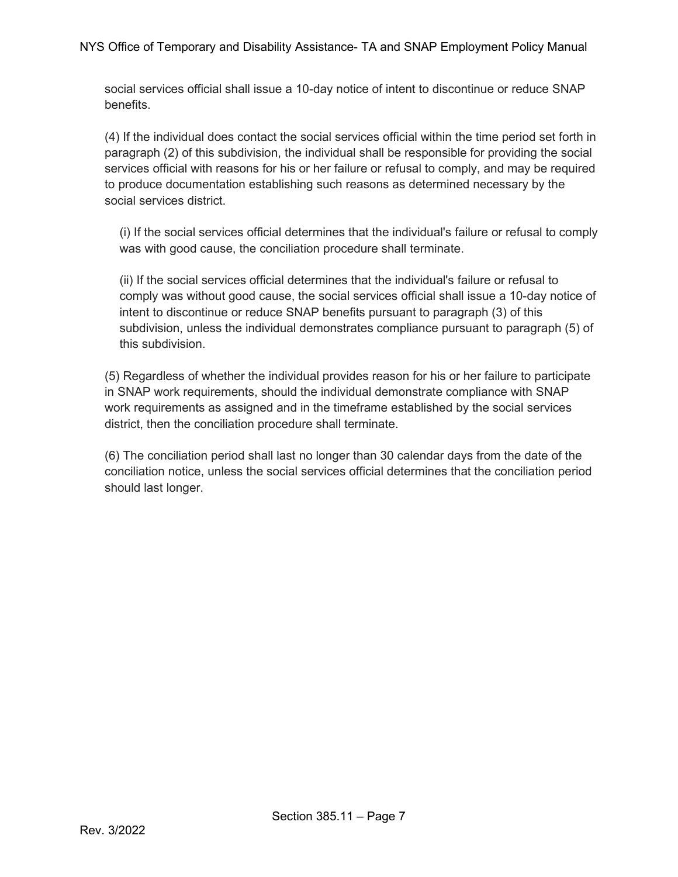social services official shall issue a 10-day notice of intent to discontinue or reduce SNAP benefits.

(4) If the individual does contact the social services official within the time period set forth in paragraph (2) of this subdivision, the individual shall be responsible for providing the social services official with reasons for his or her failure or refusal to comply, and may be required to produce documentation establishing such reasons as determined necessary by the social services district.

(i) If the social services official determines that the individual's failure or refusal to comply was with good cause, the conciliation procedure shall terminate.

(ii) If the social services official determines that the individual's failure or refusal to comply was without good cause, the social services official shall issue a 10-day notice of intent to discontinue or reduce SNAP benefits pursuant to paragraph (3) of this subdivision, unless the individual demonstrates compliance pursuant to paragraph (5) of this subdivision.

(5) Regardless of whether the individual provides reason for his or her failure to participate in SNAP work requirements, should the individual demonstrate compliance with SNAP work requirements as assigned and in the timeframe established by the social services district, then the conciliation procedure shall terminate.

(6) The conciliation period shall last no longer than 30 calendar days from the date of the conciliation notice, unless the social services official determines that the conciliation period should last longer.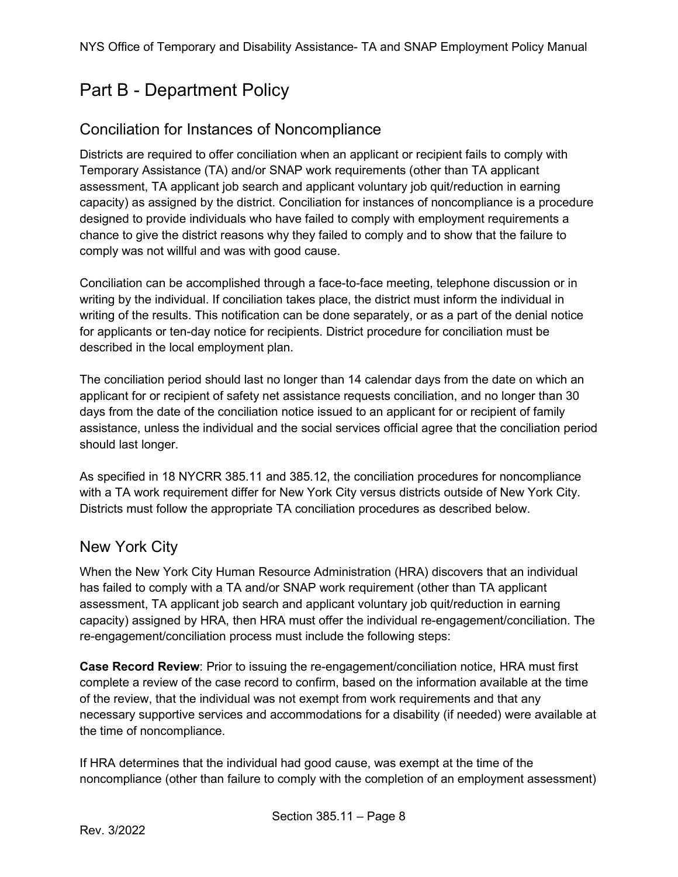# <span id="page-7-0"></span>Part B - Department Policy

#### <span id="page-7-1"></span>Conciliation for Instances of Noncompliance

Districts are required to offer conciliation when an applicant or recipient fails to comply with Temporary Assistance (TA) and/or SNAP work requirements (other than TA applicant assessment, TA applicant job search and applicant voluntary job quit/reduction in earning capacity) as assigned by the district. Conciliation for instances of noncompliance is a procedure designed to provide individuals who have failed to comply with employment requirements a chance to give the district reasons why they failed to comply and to show that the failure to comply was not willful and was with good cause.

Conciliation can be accomplished through a face-to-face meeting, telephone discussion or in writing by the individual. If conciliation takes place, the district must inform the individual in writing of the results. This notification can be done separately, or as a part of the denial notice for applicants or ten-day notice for recipients. District procedure for conciliation must be described in the local employment plan.

The conciliation period should last no longer than 14 calendar days from the date on which an applicant for or recipient of safety net assistance requests conciliation, and no longer than 30 days from the date of the conciliation notice issued to an applicant for or recipient of family assistance, unless the individual and the social services official agree that the conciliation period should last longer.

As specified in 18 NYCRR 385.11 and 385.12, the conciliation procedures for noncompliance with a TA work requirement differ for New York City versus districts outside of New York City. Districts must follow the appropriate TA conciliation procedures as described below.

#### <span id="page-7-2"></span>New York City

When the New York City Human Resource Administration (HRA) discovers that an individual has failed to comply with a TA and/or SNAP work requirement (other than TA applicant assessment, TA applicant job search and applicant voluntary job quit/reduction in earning capacity) assigned by HRA, then HRA must offer the individual re-engagement/conciliation. The re-engagement/conciliation process must include the following steps:

**Case Record Review**: Prior to issuing the re-engagement/conciliation notice, HRA must first complete a review of the case record to confirm, based on the information available at the time of the review, that the individual was not exempt from work requirements and that any necessary supportive services and accommodations for a disability (if needed) were available at the time of noncompliance.

If HRA determines that the individual had good cause, was exempt at the time of the noncompliance (other than failure to comply with the completion of an employment assessment)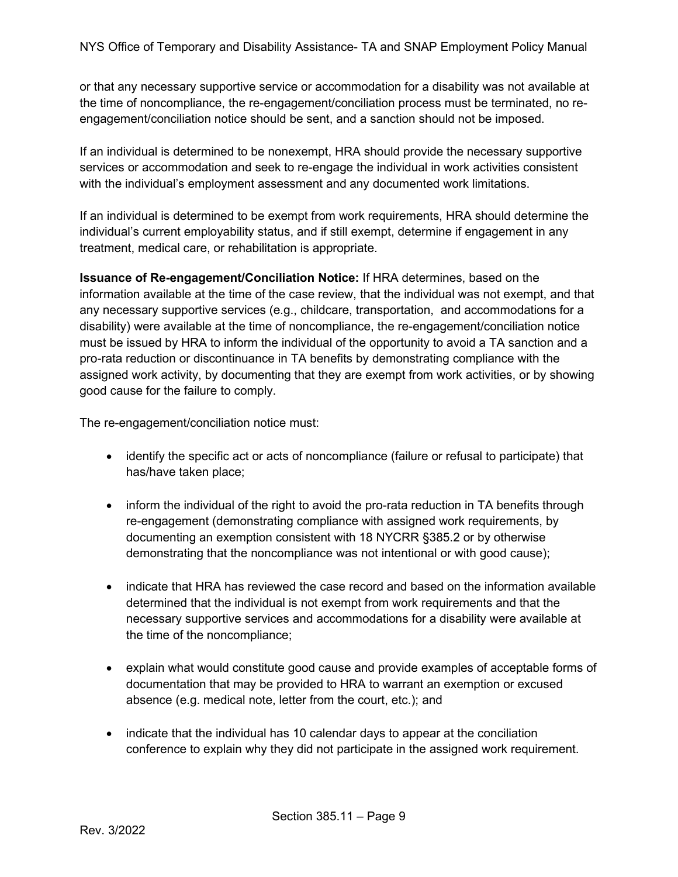or that any necessary supportive service or accommodation for a disability was not available at the time of noncompliance, the re-engagement/conciliation process must be terminated, no reengagement/conciliation notice should be sent, and a sanction should not be imposed.

If an individual is determined to be nonexempt, HRA should provide the necessary supportive services or accommodation and seek to re-engage the individual in work activities consistent with the individual's employment assessment and any documented work limitations.

If an individual is determined to be exempt from work requirements, HRA should determine the individual's current employability status, and if still exempt, determine if engagement in any treatment, medical care, or rehabilitation is appropriate.

**Issuance of Re-engagement/Conciliation Notice:** If HRA determines, based on the information available at the time of the case review, that the individual was not exempt, and that any necessary supportive services (e.g., childcare, transportation, and accommodations for a disability) were available at the time of noncompliance, the re-engagement/conciliation notice must be issued by HRA to inform the individual of the opportunity to avoid a TA sanction and a pro-rata reduction or discontinuance in TA benefits by demonstrating compliance with the assigned work activity, by documenting that they are exempt from work activities, or by showing good cause for the failure to comply.

The re-engagement/conciliation notice must:

- identify the specific act or acts of noncompliance (failure or refusal to participate) that has/have taken place;
- inform the individual of the right to avoid the pro-rata reduction in TA benefits through re-engagement (demonstrating compliance with assigned work requirements, by documenting an exemption consistent with 18 NYCRR §385.2 or by otherwise demonstrating that the noncompliance was not intentional or with good cause);
- indicate that HRA has reviewed the case record and based on the information available determined that the individual is not exempt from work requirements and that the necessary supportive services and accommodations for a disability were available at the time of the noncompliance;
- explain what would constitute good cause and provide examples of acceptable forms of documentation that may be provided to HRA to warrant an exemption or excused absence (e.g. medical note, letter from the court, etc.); and
- indicate that the individual has 10 calendar days to appear at the conciliation conference to explain why they did not participate in the assigned work requirement.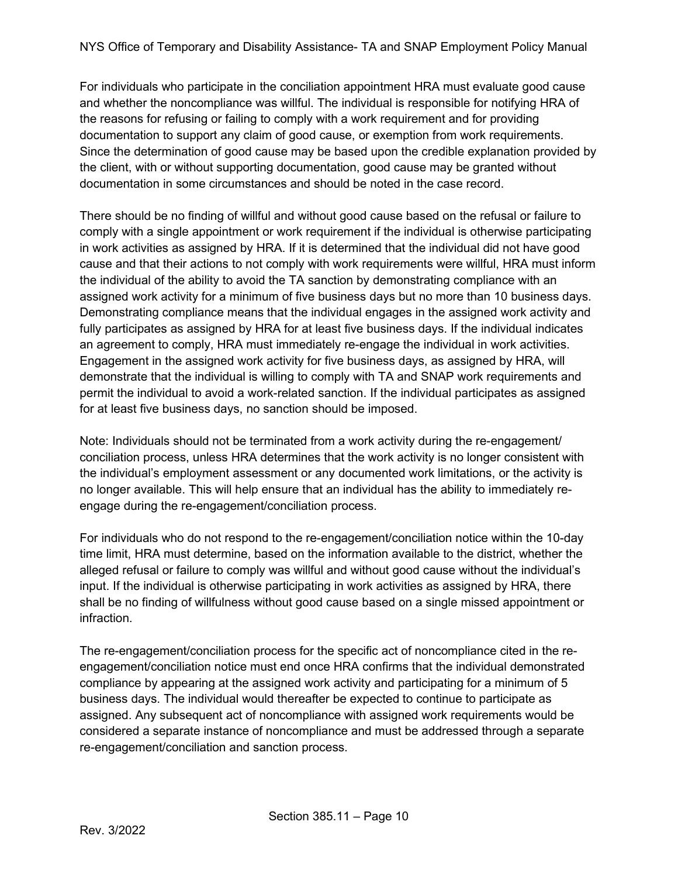For individuals who participate in the conciliation appointment HRA must evaluate good cause and whether the noncompliance was willful. The individual is responsible for notifying HRA of the reasons for refusing or failing to comply with a work requirement and for providing documentation to support any claim of good cause, or exemption from work requirements. Since the determination of good cause may be based upon the credible explanation provided by the client, with or without supporting documentation, good cause may be granted without documentation in some circumstances and should be noted in the case record.

There should be no finding of willful and without good cause based on the refusal or failure to comply with a single appointment or work requirement if the individual is otherwise participating in work activities as assigned by HRA. If it is determined that the individual did not have good cause and that their actions to not comply with work requirements were willful, HRA must inform the individual of the ability to avoid the TA sanction by demonstrating compliance with an assigned work activity for a minimum of five business days but no more than 10 business days. Demonstrating compliance means that the individual engages in the assigned work activity and fully participates as assigned by HRA for at least five business days. If the individual indicates an agreement to comply, HRA must immediately re-engage the individual in work activities. Engagement in the assigned work activity for five business days, as assigned by HRA, will demonstrate that the individual is willing to comply with TA and SNAP work requirements and permit the individual to avoid a work-related sanction. If the individual participates as assigned for at least five business days, no sanction should be imposed.

Note: Individuals should not be terminated from a work activity during the re-engagement/ conciliation process, unless HRA determines that the work activity is no longer consistent with the individual's employment assessment or any documented work limitations, or the activity is no longer available. This will help ensure that an individual has the ability to immediately reengage during the re-engagement/conciliation process.

For individuals who do not respond to the re-engagement/conciliation notice within the 10-day time limit, HRA must determine, based on the information available to the district, whether the alleged refusal or failure to comply was willful and without good cause without the individual's input. If the individual is otherwise participating in work activities as assigned by HRA, there shall be no finding of willfulness without good cause based on a single missed appointment or infraction.

The re-engagement/conciliation process for the specific act of noncompliance cited in the reengagement/conciliation notice must end once HRA confirms that the individual demonstrated compliance by appearing at the assigned work activity and participating for a minimum of 5 business days. The individual would thereafter be expected to continue to participate as assigned. Any subsequent act of noncompliance with assigned work requirements would be considered a separate instance of noncompliance and must be addressed through a separate re-engagement/conciliation and sanction process.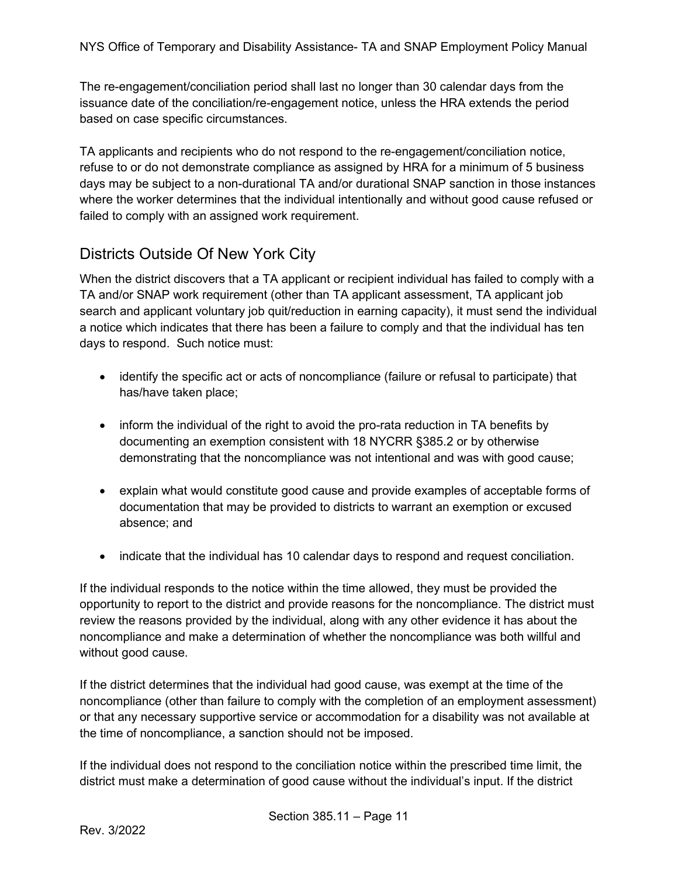The re-engagement/conciliation period shall last no longer than 30 calendar days from the issuance date of the conciliation/re-engagement notice, unless the HRA extends the period based on case specific circumstances.

TA applicants and recipients who do not respond to the re-engagement/conciliation notice, refuse to or do not demonstrate compliance as assigned by HRA for a minimum of 5 business days may be subject to a non-durational TA and/or durational SNAP sanction in those instances where the worker determines that the individual intentionally and without good cause refused or failed to comply with an assigned work requirement.

#### <span id="page-10-0"></span>Districts Outside Of New York City

When the district discovers that a TA applicant or recipient individual has failed to comply with a TA and/or SNAP work requirement (other than TA applicant assessment, TA applicant job search and applicant voluntary job quit/reduction in earning capacity), it must send the individual a notice which indicates that there has been a failure to comply and that the individual has ten days to respond. Such notice must:

- identify the specific act or acts of noncompliance (failure or refusal to participate) that has/have taken place;
- inform the individual of the right to avoid the pro-rata reduction in TA benefits by documenting an exemption consistent with 18 NYCRR §385.2 or by otherwise demonstrating that the noncompliance was not intentional and was with good cause;
- explain what would constitute good cause and provide examples of acceptable forms of documentation that may be provided to districts to warrant an exemption or excused absence; and
- indicate that the individual has 10 calendar days to respond and request conciliation.

If the individual responds to the notice within the time allowed, they must be provided the opportunity to report to the district and provide reasons for the noncompliance. The district must review the reasons provided by the individual, along with any other evidence it has about the noncompliance and make a determination of whether the noncompliance was both willful and without good cause.

If the district determines that the individual had good cause, was exempt at the time of the noncompliance (other than failure to comply with the completion of an employment assessment) or that any necessary supportive service or accommodation for a disability was not available at the time of noncompliance, a sanction should not be imposed.

If the individual does not respond to the conciliation notice within the prescribed time limit, the district must make a determination of good cause without the individual's input. If the district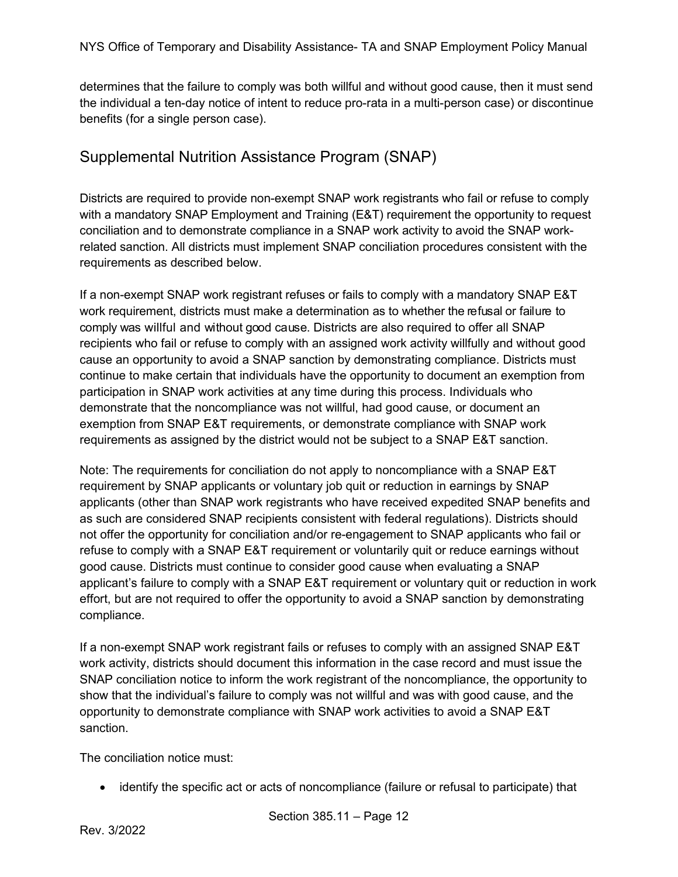determines that the failure to comply was both willful and without good cause, then it must send the individual a ten-day notice of intent to reduce pro-rata in a multi-person case) or discontinue benefits (for a single person case).

#### <span id="page-11-0"></span>Supplemental Nutrition Assistance Program (SNAP)

Districts are required to provide non-exempt SNAP work registrants who fail or refuse to comply with a mandatory SNAP Employment and Training (E&T) requirement the opportunity to request conciliation and to demonstrate compliance in a SNAP work activity to avoid the SNAP workrelated sanction. All districts must implement SNAP conciliation procedures consistent with the requirements as described below.

If a non-exempt SNAP work registrant refuses or fails to comply with a mandatory SNAP E&T work requirement, districts must make a determination as to whether the refusal or failure to comply was willful and without good cause. Districts are also required to offer all SNAP recipients who fail or refuse to comply with an assigned work activity willfully and without good cause an opportunity to avoid a SNAP sanction by demonstrating compliance. Districts must continue to make certain that individuals have the opportunity to document an exemption from participation in SNAP work activities at any time during this process. Individuals who demonstrate that the noncompliance was not willful, had good cause, or document an exemption from SNAP E&T requirements, or demonstrate compliance with SNAP work requirements as assigned by the district would not be subject to a SNAP E&T sanction.

Note: The requirements for conciliation do not apply to noncompliance with a SNAP E&T requirement by SNAP applicants or voluntary job quit or reduction in earnings by SNAP applicants (other than SNAP work registrants who have received expedited SNAP benefits and as such are considered SNAP recipients consistent with federal regulations). Districts should not offer the opportunity for conciliation and/or re-engagement to SNAP applicants who fail or refuse to comply with a SNAP E&T requirement or voluntarily quit or reduce earnings without good cause. Districts must continue to consider good cause when evaluating a SNAP applicant's failure to comply with a SNAP E&T requirement or voluntary quit or reduction in work effort, but are not required to offer the opportunity to avoid a SNAP sanction by demonstrating compliance.

If a non-exempt SNAP work registrant fails or refuses to comply with an assigned SNAP E&T work activity, districts should document this information in the case record and must issue the SNAP conciliation notice to inform the work registrant of the noncompliance, the opportunity to show that the individual's failure to comply was not willful and was with good cause, and the opportunity to demonstrate compliance with SNAP work activities to avoid a SNAP E&T sanction.

The conciliation notice must:

• identify the specific act or acts of noncompliance (failure or refusal to participate) that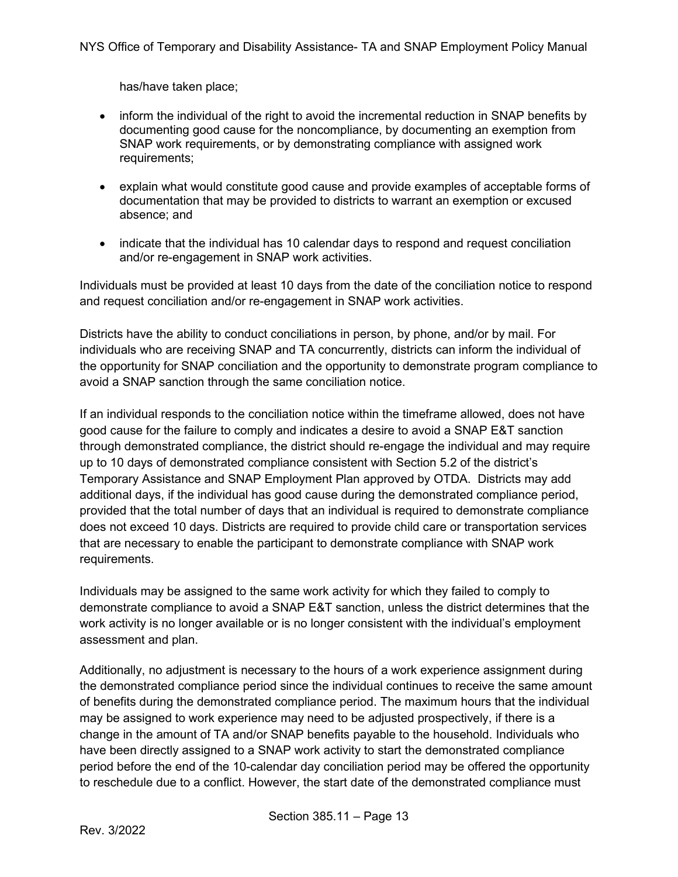has/have taken place;

- inform the individual of the right to avoid the incremental reduction in SNAP benefits by documenting good cause for the noncompliance, by documenting an exemption from SNAP work requirements, or by demonstrating compliance with assigned work requirements;
- explain what would constitute good cause and provide examples of acceptable forms of documentation that may be provided to districts to warrant an exemption or excused absence; and
- indicate that the individual has 10 calendar days to respond and request conciliation and/or re-engagement in SNAP work activities.

Individuals must be provided at least 10 days from the date of the conciliation notice to respond and request conciliation and/or re-engagement in SNAP work activities.

Districts have the ability to conduct conciliations in person, by phone, and/or by mail. For individuals who are receiving SNAP and TA concurrently, districts can inform the individual of the opportunity for SNAP conciliation and the opportunity to demonstrate program compliance to avoid a SNAP sanction through the same conciliation notice.

If an individual responds to the conciliation notice within the timeframe allowed, does not have good cause for the failure to comply and indicates a desire to avoid a SNAP E&T sanction through demonstrated compliance, the district should re-engage the individual and may require up to 10 days of demonstrated compliance consistent with Section 5.2 of the district's Temporary Assistance and SNAP Employment Plan approved by OTDA. Districts may add additional days, if the individual has good cause during the demonstrated compliance period, provided that the total number of days that an individual is required to demonstrate compliance does not exceed 10 days. Districts are required to provide child care or transportation services that are necessary to enable the participant to demonstrate compliance with SNAP work requirements.

Individuals may be assigned to the same work activity for which they failed to comply to demonstrate compliance to avoid a SNAP E&T sanction, unless the district determines that the work activity is no longer available or is no longer consistent with the individual's employment assessment and plan.

Additionally, no adjustment is necessary to the hours of a work experience assignment during the demonstrated compliance period since the individual continues to receive the same amount of benefits during the demonstrated compliance period. The maximum hours that the individual may be assigned to work experience may need to be adjusted prospectively, if there is a change in the amount of TA and/or SNAP benefits payable to the household. Individuals who have been directly assigned to a SNAP work activity to start the demonstrated compliance period before the end of the 10-calendar day conciliation period may be offered the opportunity to reschedule due to a conflict. However, the start date of the demonstrated compliance must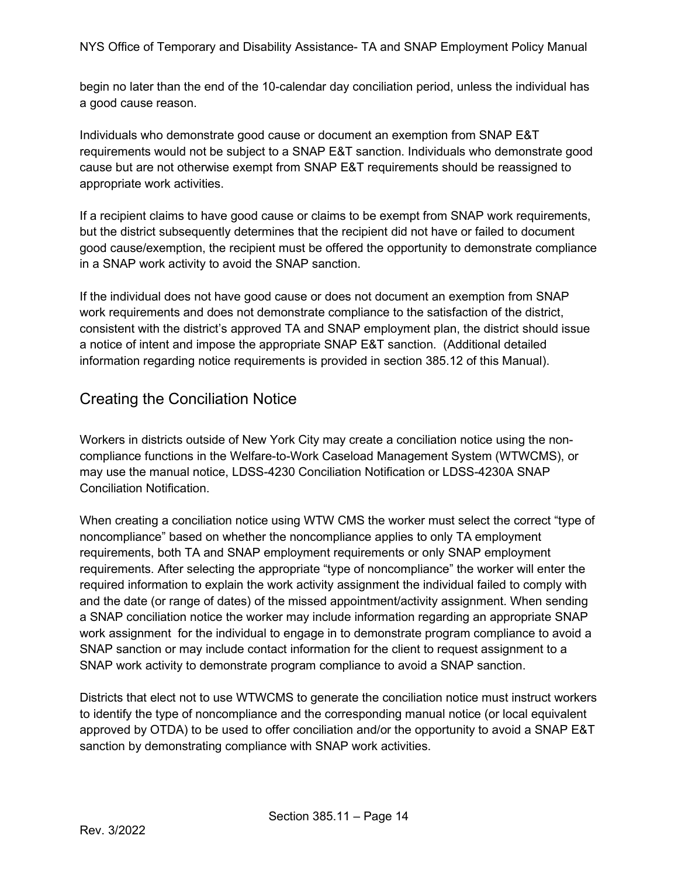begin no later than the end of the 10-calendar day conciliation period, unless the individual has a good cause reason.

Individuals who demonstrate good cause or document an exemption from SNAP E&T requirements would not be subject to a SNAP E&T sanction. Individuals who demonstrate good cause but are not otherwise exempt from SNAP E&T requirements should be reassigned to appropriate work activities.

If a recipient claims to have good cause or claims to be exempt from SNAP work requirements, but the district subsequently determines that the recipient did not have or failed to document good cause/exemption, the recipient must be offered the opportunity to demonstrate compliance in a SNAP work activity to avoid the SNAP sanction.

If the individual does not have good cause or does not document an exemption from SNAP work requirements and does not demonstrate compliance to the satisfaction of the district, consistent with the district's approved TA and SNAP employment plan, the district should issue a notice of intent and impose the appropriate SNAP E&T sanction. (Additional detailed information regarding notice requirements is provided in section 385.12 of this Manual).

#### <span id="page-13-0"></span>Creating the Conciliation Notice

Workers in districts outside of New York City may create a conciliation notice using the noncompliance functions in the Welfare-to-Work Caseload Management System (WTWCMS), or may use the manual notice, LDSS-4230 Conciliation Notification or LDSS-4230A SNAP Conciliation Notification.

When creating a conciliation notice using WTW CMS the worker must select the correct "type of noncompliance" based on whether the noncompliance applies to only TA employment requirements, both TA and SNAP employment requirements or only SNAP employment requirements. After selecting the appropriate "type of noncompliance" the worker will enter the required information to explain the work activity assignment the individual failed to comply with and the date (or range of dates) of the missed appointment/activity assignment. When sending a SNAP conciliation notice the worker may include information regarding an appropriate SNAP work assignment for the individual to engage in to demonstrate program compliance to avoid a SNAP sanction or may include contact information for the client to request assignment to a SNAP work activity to demonstrate program compliance to avoid a SNAP sanction.

Districts that elect not to use WTWCMS to generate the conciliation notice must instruct workers to identify the type of noncompliance and the corresponding manual notice (or local equivalent approved by OTDA) to be used to offer conciliation and/or the opportunity to avoid a SNAP E&T sanction by demonstrating compliance with SNAP work activities.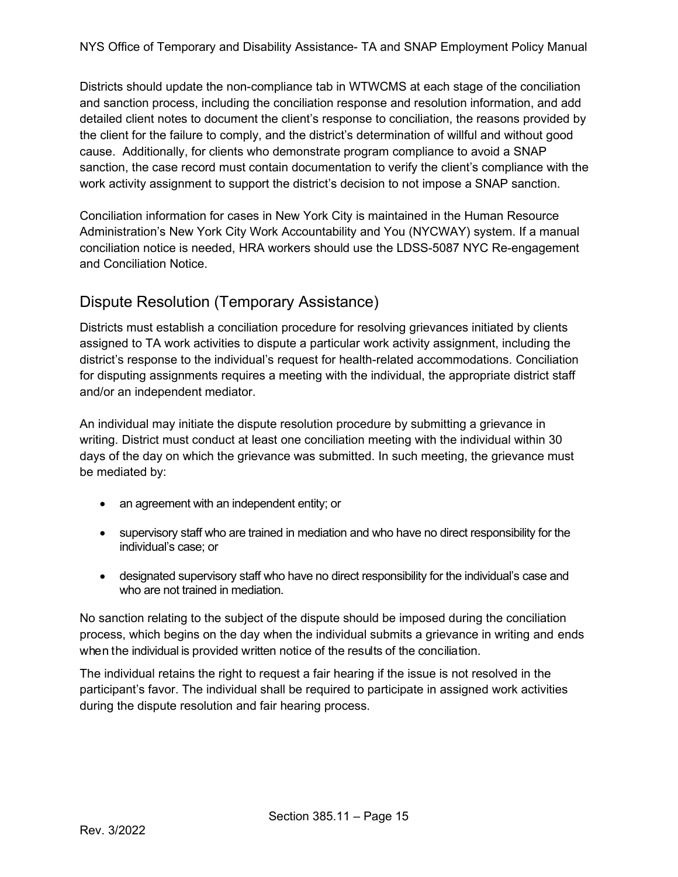Districts should update the non-compliance tab in WTWCMS at each stage of the conciliation and sanction process, including the conciliation response and resolution information, and add detailed client notes to document the client's response to conciliation, the reasons provided by the client for the failure to comply, and the district's determination of willful and without good cause. Additionally, for clients who demonstrate program compliance to avoid a SNAP sanction, the case record must contain documentation to verify the client's compliance with the work activity assignment to support the district's decision to not impose a SNAP sanction.

Conciliation information for cases in New York City is maintained in the Human Resource Administration's New York City Work Accountability and You (NYCWAY) system. If a manual conciliation notice is needed, HRA workers should use the LDSS-5087 NYC Re-engagement and Conciliation Notice.

#### <span id="page-14-0"></span>Dispute Resolution (Temporary Assistance)

Districts must establish a conciliation procedure for resolving grievances initiated by clients assigned to TA work activities to dispute a particular work activity assignment, including the district's response to the individual's request for health-related accommodations. Conciliation for disputing assignments requires a meeting with the individual, the appropriate district staff and/or an independent mediator.

An individual may initiate the dispute resolution procedure by submitting a grievance in writing. District must conduct at least one conciliation meeting with the individual within 30 days of the day on which the grievance was submitted. In such meeting, the grievance must be mediated by:

- an agreement with an independent entity; or
- supervisory staff who are trained in mediation and who have no direct responsibility for the individual's case; or
- designated supervisory staff who have no direct responsibility for the individual's case and who are not trained in mediation.

No sanction relating to the subject of the dispute should be imposed during the conciliation process, which begins on the day when the individual submits a grievance in writing and ends when the individual is provided written notice of the results of the conciliation.

The individual retains the right to request a fair hearing if the issue is not resolved in the participant's favor. The individual shall be required to participate in assigned work activities during the dispute resolution and fair hearing process.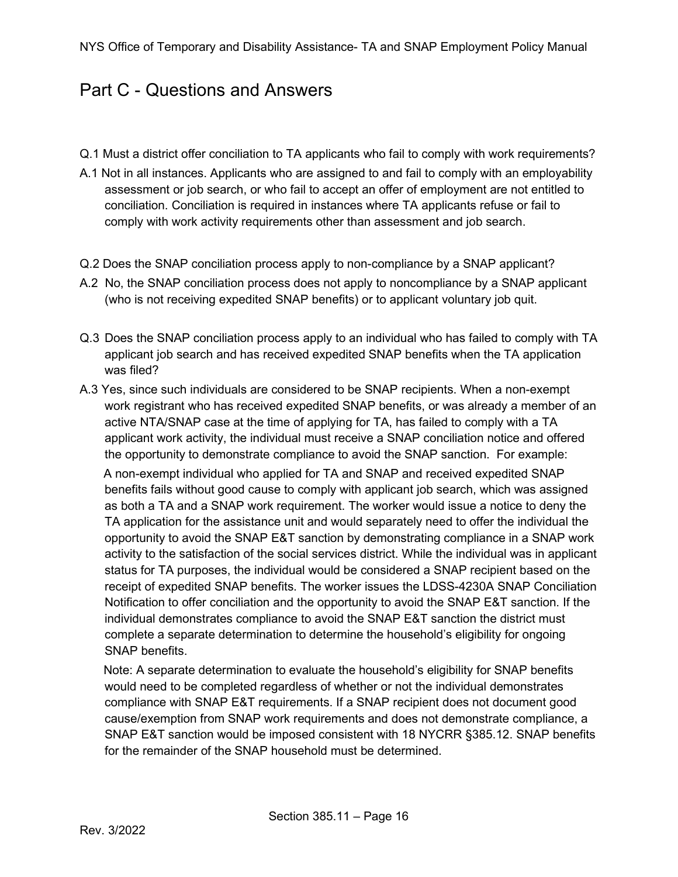### <span id="page-15-0"></span>Part C - Questions and Answers

- Q.1 Must a district offer conciliation to TA applicants who fail to comply with work requirements?
- A.1 Not in all instances. Applicants who are assigned to and fail to comply with an employability assessment or job search, or who fail to accept an offer of employment are not entitled to conciliation. Conciliation is required in instances where TA applicants refuse or fail to comply with work activity requirements other than assessment and job search.
- Q.2 Does the SNAP conciliation process apply to non-compliance by a SNAP applicant?
- A.2 No, the SNAP conciliation process does not apply to noncompliance by a SNAP applicant (who is not receiving expedited SNAP benefits) or to applicant voluntary job quit.
- Q.3 Does the SNAP conciliation process apply to an individual who has failed to comply with TA applicant job search and has received expedited SNAP benefits when the TA application was filed?
- A.3 Yes, since such individuals are considered to be SNAP recipients. When a non-exempt work registrant who has received expedited SNAP benefits, or was already a member of an active NTA/SNAP case at the time of applying for TA, has failed to comply with a TA applicant work activity, the individual must receive a SNAP conciliation notice and offered the opportunity to demonstrate compliance to avoid the SNAP sanction. For example:

A non-exempt individual who applied for TA and SNAP and received expedited SNAP benefits fails without good cause to comply with applicant job search, which was assigned as both a TA and a SNAP work requirement. The worker would issue a notice to deny the TA application for the assistance unit and would separately need to offer the individual the opportunity to avoid the SNAP E&T sanction by demonstrating compliance in a SNAP work activity to the satisfaction of the social services district. While the individual was in applicant status for TA purposes, the individual would be considered a SNAP recipient based on the receipt of expedited SNAP benefits. The worker issues the LDSS-4230A SNAP Conciliation Notification to offer conciliation and the opportunity to avoid the SNAP E&T sanction. If the individual demonstrates compliance to avoid the SNAP E&T sanction the district must complete a separate determination to determine the household's eligibility for ongoing SNAP benefits.

Note: A separate determination to evaluate the household's eligibility for SNAP benefits would need to be completed regardless of whether or not the individual demonstrates compliance with SNAP E&T requirements. If a SNAP recipient does not document good cause/exemption from SNAP work requirements and does not demonstrate compliance, a SNAP E&T sanction would be imposed consistent with 18 NYCRR §385.12. SNAP benefits for the remainder of the SNAP household must be determined.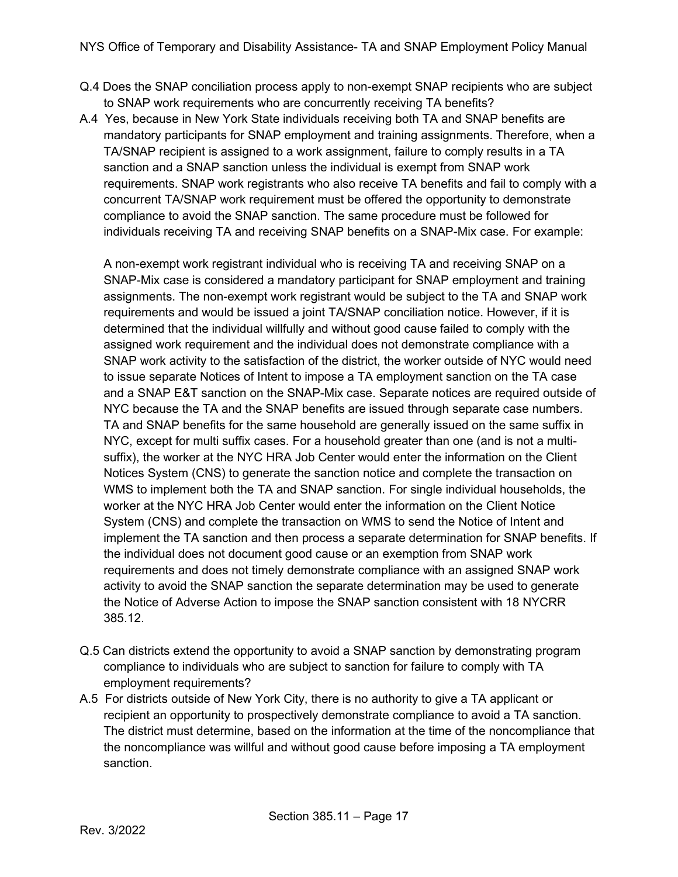- Q.4 Does the SNAP conciliation process apply to non-exempt SNAP recipients who are subject to SNAP work requirements who are concurrently receiving TA benefits?
- A.4 Yes, because in New York State individuals receiving both TA and SNAP benefits are mandatory participants for SNAP employment and training assignments. Therefore, when a TA/SNAP recipient is assigned to a work assignment, failure to comply results in a TA sanction and a SNAP sanction unless the individual is exempt from SNAP work requirements. SNAP work registrants who also receive TA benefits and fail to comply with a concurrent TA/SNAP work requirement must be offered the opportunity to demonstrate compliance to avoid the SNAP sanction. The same procedure must be followed for individuals receiving TA and receiving SNAP benefits on a SNAP-Mix case. For example:

A non-exempt work registrant individual who is receiving TA and receiving SNAP on a SNAP-Mix case is considered a mandatory participant for SNAP employment and training assignments. The non-exempt work registrant would be subject to the TA and SNAP work requirements and would be issued a joint TA/SNAP conciliation notice. However, if it is determined that the individual willfully and without good cause failed to comply with the assigned work requirement and the individual does not demonstrate compliance with a SNAP work activity to the satisfaction of the district, the worker outside of NYC would need to issue separate Notices of Intent to impose a TA employment sanction on the TA case and a SNAP E&T sanction on the SNAP-Mix case. Separate notices are required outside of NYC because the TA and the SNAP benefits are issued through separate case numbers. TA and SNAP benefits for the same household are generally issued on the same suffix in NYC, except for multi suffix cases. For a household greater than one (and is not a multisuffix), the worker at the NYC HRA Job Center would enter the information on the Client Notices System (CNS) to generate the sanction notice and complete the transaction on WMS to implement both the TA and SNAP sanction. For single individual households, the worker at the NYC HRA Job Center would enter the information on the Client Notice System (CNS) and complete the transaction on WMS to send the Notice of Intent and implement the TA sanction and then process a separate determination for SNAP benefits. If the individual does not document good cause or an exemption from SNAP work requirements and does not timely demonstrate compliance with an assigned SNAP work activity to avoid the SNAP sanction the separate determination may be used to generate the Notice of Adverse Action to impose the SNAP sanction consistent with 18 NYCRR 385.12.

- Q.5 Can districts extend the opportunity to avoid a SNAP sanction by demonstrating program compliance to individuals who are subject to sanction for failure to comply with TA employment requirements?
- A.5 For districts outside of New York City, there is no authority to give a TA applicant or recipient an opportunity to prospectively demonstrate compliance to avoid a TA sanction. The district must determine, based on the information at the time of the noncompliance that the noncompliance was willful and without good cause before imposing a TA employment sanction.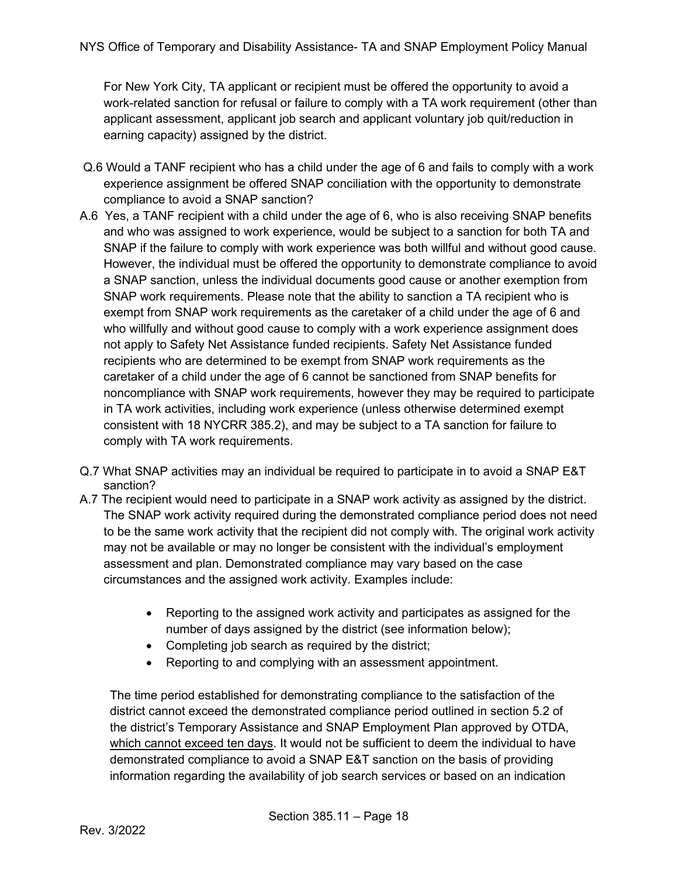For New York City, TA applicant or recipient must be offered the opportunity to avoid a work-related sanction for refusal or failure to comply with a TA work requirement (other than applicant assessment, applicant job search and applicant voluntary job quit/reduction in earning capacity) assigned by the district.

- Q.6 Would a TANF recipient who has a child under the age of 6 and fails to comply with a work experience assignment be offered SNAP conciliation with the opportunity to demonstrate compliance to avoid a SNAP sanction?
- A.6 Yes, a TANF recipient with a child under the age of 6, who is also receiving SNAP benefits and who was assigned to work experience, would be subject to a sanction for both TA and SNAP if the failure to comply with work experience was both willful and without good cause. However, the individual must be offered the opportunity to demonstrate compliance to avoid a SNAP sanction, unless the individual documents good cause or another exemption from SNAP work requirements. Please note that the ability to sanction a TA recipient who is exempt from SNAP work requirements as the caretaker of a child under the age of 6 and who willfully and without good cause to comply with a work experience assignment does not apply to Safety Net Assistance funded recipients. Safety Net Assistance funded recipients who are determined to be exempt from SNAP work requirements as the caretaker of a child under the age of 6 cannot be sanctioned from SNAP benefits for noncompliance with SNAP work requirements, however they may be required to participate in TA work activities, including work experience (unless otherwise determined exempt consistent with 18 NYCRR 385.2), and may be subject to a TA sanction for failure to comply with TA work requirements.
- Q.7 What SNAP activities may an individual be required to participate in to avoid a SNAP E&T sanction?
- A.7 The recipient would need to participate in a SNAP work activity as assigned by the district. The SNAP work activity required during the demonstrated compliance period does not need to be the same work activity that the recipient did not comply with. The original work activity may not be available or may no longer be consistent with the individual's employment assessment and plan. Demonstrated compliance may vary based on the case circumstances and the assigned work activity. Examples include:
	- Reporting to the assigned work activity and participates as assigned for the number of days assigned by the district (see information below);
	- Completing job search as required by the district;
	- Reporting to and complying with an assessment appointment.

The time period established for demonstrating compliance to the satisfaction of the district cannot exceed the demonstrated compliance period outlined in section 5.2 of the district's Temporary Assistance and SNAP Employment Plan approved by OTDA, which cannot exceed ten days. It would not be sufficient to deem the individual to have demonstrated compliance to avoid a SNAP E&T sanction on the basis of providing information regarding the availability of job search services or based on an indication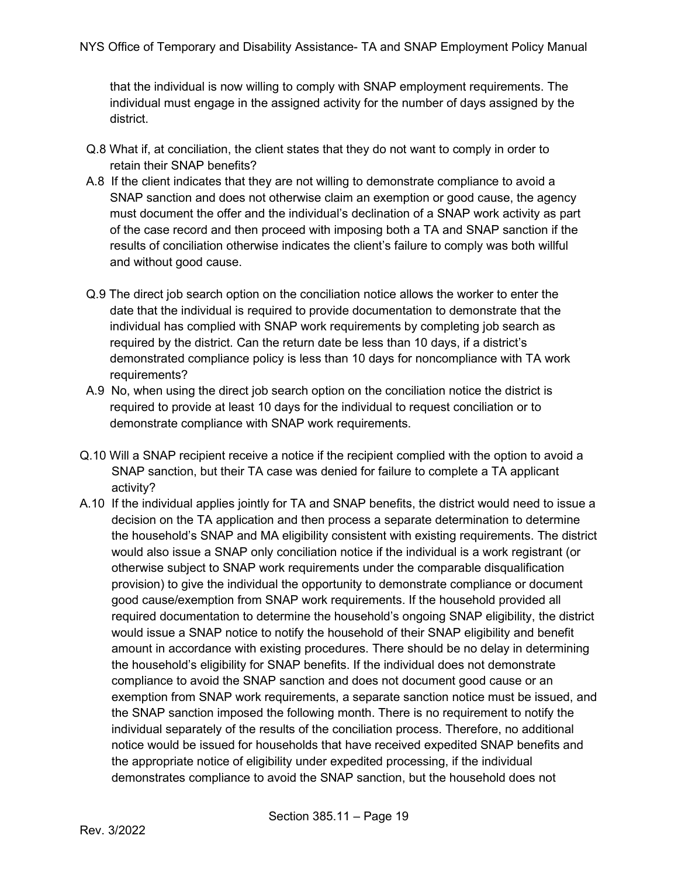that the individual is now willing to comply with SNAP employment requirements. The individual must engage in the assigned activity for the number of days assigned by the district.

- Q.8 What if, at conciliation, the client states that they do not want to comply in order to retain their SNAP benefits?
- A.8 If the client indicates that they are not willing to demonstrate compliance to avoid a SNAP sanction and does not otherwise claim an exemption or good cause, the agency must document the offer and the individual's declination of a SNAP work activity as part of the case record and then proceed with imposing both a TA and SNAP sanction if the results of conciliation otherwise indicates the client's failure to comply was both willful and without good cause.
- Q.9 The direct job search option on the conciliation notice allows the worker to enter the date that the individual is required to provide documentation to demonstrate that the individual has complied with SNAP work requirements by completing job search as required by the district. Can the return date be less than 10 days, if a district's demonstrated compliance policy is less than 10 days for noncompliance with TA work requirements?
- A.9 No, when using the direct job search option on the conciliation notice the district is required to provide at least 10 days for the individual to request conciliation or to demonstrate compliance with SNAP work requirements.
- Q.10 Will a SNAP recipient receive a notice if the recipient complied with the option to avoid a SNAP sanction, but their TA case was denied for failure to complete a TA applicant activity?
- A.10 If the individual applies jointly for TA and SNAP benefits, the district would need to issue a decision on the TA application and then process a separate determination to determine the household's SNAP and MA eligibility consistent with existing requirements. The district would also issue a SNAP only conciliation notice if the individual is a work registrant (or otherwise subject to SNAP work requirements under the comparable disqualification provision) to give the individual the opportunity to demonstrate compliance or document good cause/exemption from SNAP work requirements. If the household provided all required documentation to determine the household's ongoing SNAP eligibility, the district would issue a SNAP notice to notify the household of their SNAP eligibility and benefit amount in accordance with existing procedures. There should be no delay in determining the household's eligibility for SNAP benefits. If the individual does not demonstrate compliance to avoid the SNAP sanction and does not document good cause or an exemption from SNAP work requirements, a separate sanction notice must be issued, and the SNAP sanction imposed the following month. There is no requirement to notify the individual separately of the results of the conciliation process. Therefore, no additional notice would be issued for households that have received expedited SNAP benefits and the appropriate notice of eligibility under expedited processing, if the individual demonstrates compliance to avoid the SNAP sanction, but the household does not